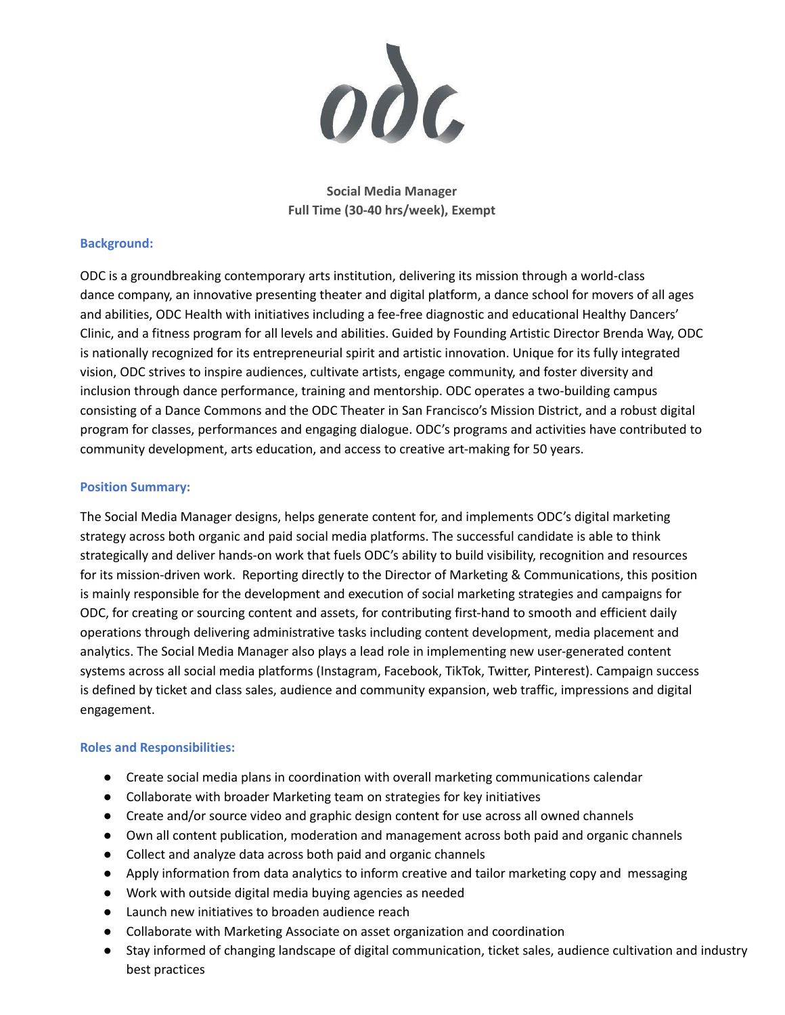

**Social Media Manager Full Time (30-40 hrs/week), Exempt**

## **Background:**

ODC is a groundbreaking contemporary arts institution, delivering its mission through a world-class dance company, an innovative presenting theater and digital platform, a dance school for movers of all ages and abilities, ODC Health with initiatives including a fee-free diagnostic and educational Healthy Dancers' Clinic, and a fitness program for all levels and abilities. Guided by Founding Artistic Director Brenda Way, ODC is nationally recognized for its entrepreneurial spirit and artistic innovation. Unique for its fully integrated vision, ODC strives to inspire audiences, cultivate artists, engage community, and foster diversity and inclusion through dance performance, training and mentorship. ODC operates a two-building campus consisting of a Dance Commons and the ODC Theater in San Francisco's Mission District, and a robust digital program for classes, performances and engaging dialogue. ODC's programs and activities have contributed to community development, arts education, and access to creative art-making for 50 years.

## **Position Summary:**

The Social Media Manager designs, helps generate content for, and implements ODC's digital marketing strategy across both organic and paid social media platforms. The successful candidate is able to think strategically and deliver hands-on work that fuels ODC's ability to build visibility, recognition and resources for its mission-driven work. Reporting directly to the Director of Marketing & Communications, this position is mainly responsible for the development and execution of social marketing strategies and campaigns for ODC, for creating or sourcing content and assets, for contributing first-hand to smooth and efficient daily operations through delivering administrative tasks including content development, media placement and analytics. The Social Media Manager also plays a lead role in implementing new user-generated content systems across all social media platforms (Instagram, Facebook, TikTok, Twitter, Pinterest). Campaign success is defined by ticket and class sales, audience and community expansion, web traffic, impressions and digital engagement.

## **Roles and Responsibilities:**

- Create social media plans in coordination with overall marketing communications calendar
- Collaborate with broader Marketing team on strategies for key initiatives
- Create and/or source video and graphic design content for use across all owned channels
- Own all content publication, moderation and management across both paid and organic channels
- Collect and analyze data across both paid and organic channels
- Apply information from data analytics to inform creative and tailor marketing copy and messaging
- Work with outside digital media buying agencies as needed
- Launch new initiatives to broaden audience reach
- Collaborate with Marketing Associate on asset organization and coordination
- Stay informed of changing landscape of digital communication, ticket sales, audience cultivation and industry best practices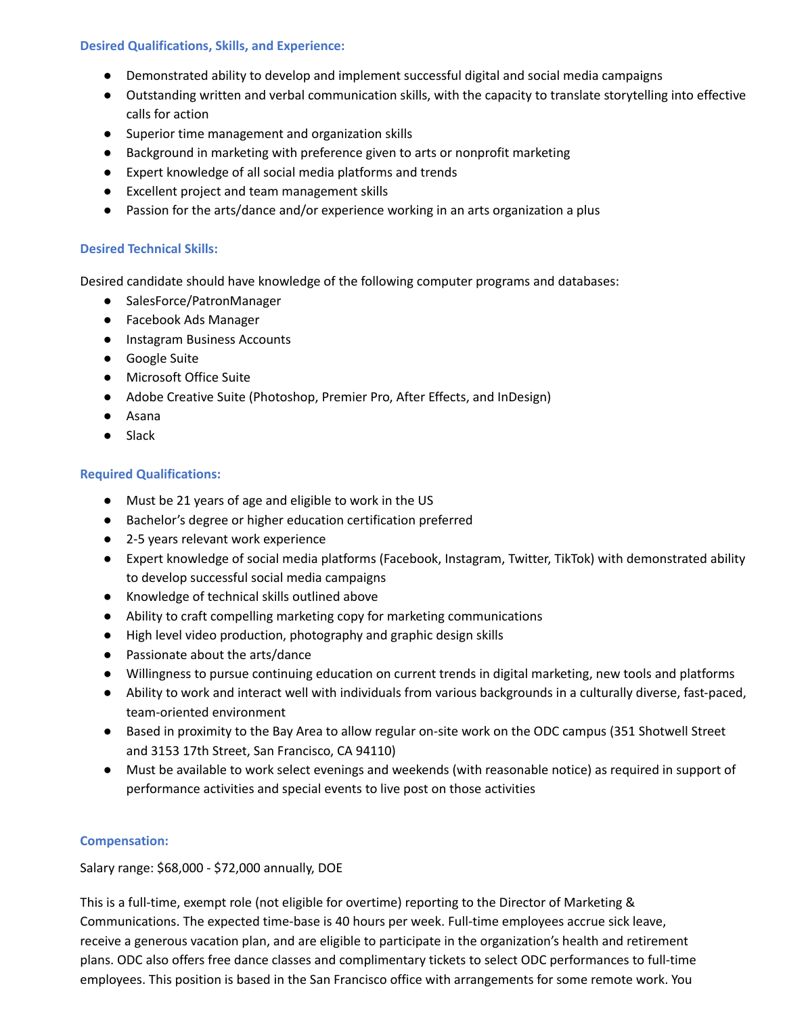## **Desired Qualifications, Skills, and Experience:**

- Demonstrated ability to develop and implement successful digital and social media campaigns
- Outstanding written and verbal communication skills, with the capacity to translate storytelling into effective calls for action
- Superior time management and organization skills
- Background in marketing with preference given to arts or nonprofit marketing
- Expert knowledge of all social media platforms and trends
- Excellent project and team management skills
- Passion for the arts/dance and/or experience working in an arts organization a plus

## **Desired Technical Skills:**

Desired candidate should have knowledge of the following computer programs and databases:

- SalesForce/PatronManager
- Facebook Ads Manager
- Instagram Business Accounts
- Google Suite
- Microsoft Office Suite
- Adobe Creative Suite (Photoshop, Premier Pro, After Effects, and InDesign)
- Asana
- Slack

## **Required Qualifications:**

- Must be 21 years of age and eligible to work in the US
- Bachelor's degree or higher education certification preferred
- 2-5 years relevant work experience
- Expert knowledge of social media platforms (Facebook, Instagram, Twitter, TikTok) with demonstrated ability to develop successful social media campaigns
- Knowledge of technical skills outlined above
- Ability to craft compelling marketing copy for marketing communications
- High level video production, photography and graphic design skills
- Passionate about the arts/dance
- Willingness to pursue continuing education on current trends in digital marketing, new tools and platforms
- Ability to work and interact well with individuals from various backgrounds in a culturally diverse, fast-paced, team-oriented environment
- Based in proximity to the Bay Area to allow regular on-site work on the ODC campus (351 Shotwell Street and 3153 17th Street, San Francisco, CA 94110)
- Must be available to work select evenings and weekends (with reasonable notice) as required in support of performance activities and special events to live post on those activities

## **Compensation:**

Salary range: \$68,000 - \$72,000 annually, DOE

This is a full-time, exempt role (not eligible for overtime) reporting to the Director of Marketing & Communications. The expected time-base is 40 hours per week. Full-time employees accrue sick leave, receive a generous vacation plan, and are eligible to participate in the organization's health and retirement plans. ODC also offers free dance classes and complimentary tickets to select ODC performances to full-time employees. This position is based in the San Francisco office with arrangements for some remote work. You